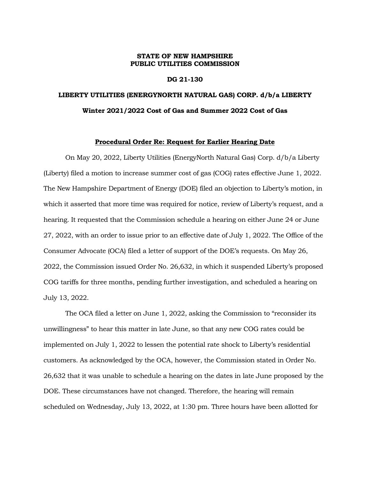### **STATE OF NEW HAMPSHIRE PUBLIC UTILITIES COMMISSION**

### **DG 21-130**

## **LIBERTY UTILITIES (ENERGYNORTH NATURAL GAS) CORP. d/b/a LIBERTY Winter 2021/2022 Cost of Gas and Summer 2022 Cost of Gas**

#### **Procedural Order Re: Request for Earlier Hearing Date**

On May 20, 2022, Liberty Utilities (EnergyNorth Natural Gas) Corp. d/b/a Liberty (Liberty) filed a motion to increase summer cost of gas (COG) rates effective June 1, 2022. The New Hampshire Department of Energy (DOE) filed an objection to Liberty's motion, in which it asserted that more time was required for notice, review of Liberty's request, and a hearing. It requested that the Commission schedule a hearing on either June 24 or June 27, 2022, with an order to issue prior to an effective date of July 1, 2022. The Office of the Consumer Advocate (OCA) filed a letter of support of the DOE's requests. On May 26, 2022, the Commission issued Order No. 26,632, in which it suspended Liberty's proposed COG tariffs for three months, pending further investigation, and scheduled a hearing on July 13, 2022.

The OCA filed a letter on June 1, 2022, asking the Commission to "reconsider its unwillingness" to hear this matter in late June, so that any new COG rates could be implemented on July 1, 2022 to lessen the potential rate shock to Liberty's residential customers. As acknowledged by the OCA, however, the Commission stated in Order No. 26,632 that it was unable to schedule a hearing on the dates in late June proposed by the DOE. These circumstances have not changed. Therefore, the hearing will remain scheduled on Wednesday, July 13, 2022, at 1:30 pm. Three hours have been allotted for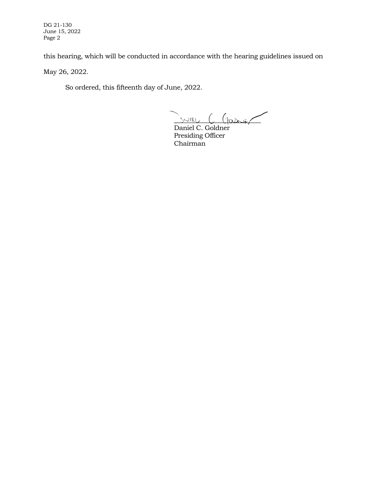DG 21-130 June 15, 2022 Page 2

this hearing, which will be conducted in accordance with the hearing guidelines issued on

May 26, 2022.

So ordered, this fifteenth day of June, 2022.

 $S$ NIEU  $C$  Garier

Daniel C. Goldner Presiding Officer Chairman